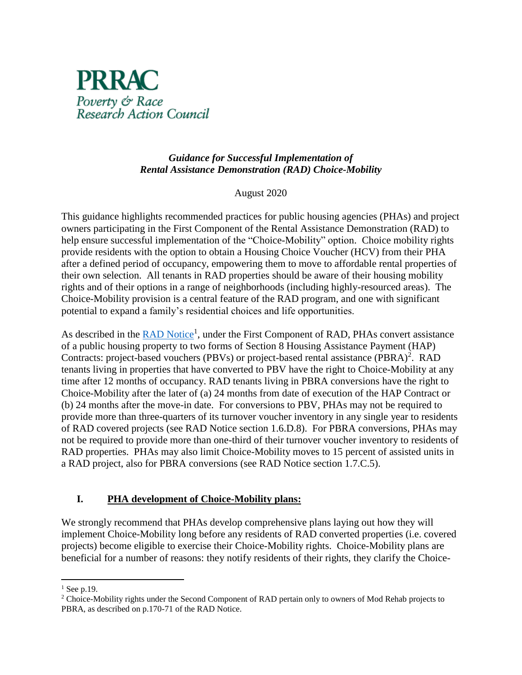

### *Guidance for Successful Implementation of Rental Assistance Demonstration (RAD) Choice-Mobility*

#### August 2020

This guidance highlights recommended practices for public housing agencies (PHAs) and project owners participating in the First Component of the Rental Assistance Demonstration (RAD) to help ensure successful implementation of the "Choice-Mobility" option. Choice mobility rights provide residents with the option to obtain a Housing Choice Voucher (HCV) from their PHA after a defined period of occupancy, empowering them to move to affordable rental properties of their own selection. All tenants in RAD properties should be aware of their housing mobility rights and of their options in a range of neighborhoods (including highly-resourced areas). The Choice-Mobility provision is a central feature of the RAD program, and one with significant potential to expand a family's residential choices and life opportunities.

As described in the **RAD Notice<sup>1</sup>**, under the First Component of RAD, PHAs convert assistance of a public housing property to two forms of Section 8 Housing Assistance Payment (HAP) Contracts: project-based vouchers (PBVs) or project-based rental assistance (PBRA)<sup>2</sup>. RAD tenants living in properties that have converted to PBV have the right to Choice-Mobility at any time after 12 months of occupancy. RAD tenants living in PBRA conversions have the right to Choice-Mobility after the later of (a) 24 months from date of execution of the HAP Contract or (b) 24 months after the move-in date. For conversions to PBV, PHAs may not be required to provide more than three-quarters of its turnover voucher inventory in any single year to residents of RAD covered projects (see RAD Notice section 1.6.D.8). For PBRA conversions, PHAs may not be required to provide more than one-third of their turnover voucher inventory to residents of RAD properties. PHAs may also limit Choice-Mobility moves to 15 percent of assisted units in a RAD project, also for PBRA conversions (see RAD Notice section 1.7.C.5).

### **I. PHA development of Choice-Mobility plans:**

We strongly recommend that PHAs develop comprehensive plans laying out how they will implement Choice-Mobility long before any residents of RAD converted properties (i.e. covered projects) become eligible to exercise their Choice-Mobility rights. Choice-Mobility plans are beneficial for a number of reasons: they notify residents of their rights, they clarify the Choice-

 $\overline{\phantom{a}}$  $<sup>1</sup>$  See p.19.</sup>

<sup>&</sup>lt;sup>2</sup> Choice-Mobility rights under the Second Component of RAD pertain only to owners of Mod Rehab projects to PBRA, as described on p.170-71 of the RAD Notice.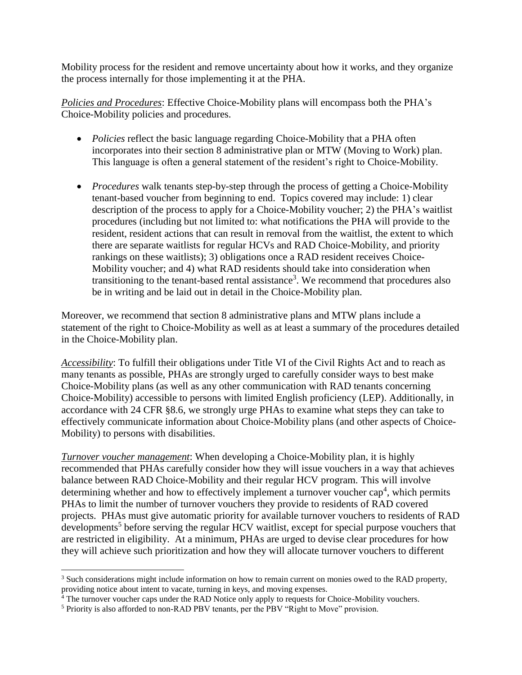Mobility process for the resident and remove uncertainty about how it works, and they organize the process internally for those implementing it at the PHA.

*Policies and Procedures*: Effective Choice-Mobility plans will encompass both the PHA's Choice-Mobility policies and procedures.

- *Policies* reflect the basic language regarding Choice-Mobility that a PHA often incorporates into their section 8 administrative plan or MTW (Moving to Work) plan. This language is often a general statement of the resident's right to Choice-Mobility.
- *Procedures* walk tenants step-by-step through the process of getting a Choice-Mobility tenant-based voucher from beginning to end. Topics covered may include: 1) clear description of the process to apply for a Choice-Mobility voucher; 2) the PHA's waitlist procedures (including but not limited to: what notifications the PHA will provide to the resident, resident actions that can result in removal from the waitlist, the extent to which there are separate waitlists for regular HCVs and RAD Choice-Mobility, and priority rankings on these waitlists); 3) obligations once a RAD resident receives Choice-Mobility voucher; and 4) what RAD residents should take into consideration when transitioning to the tenant-based rental assistance<sup>3</sup>. We recommend that procedures also be in writing and be laid out in detail in the Choice-Mobility plan.

Moreover, we recommend that section 8 administrative plans and MTW plans include a statement of the right to Choice-Mobility as well as at least a summary of the procedures detailed in the Choice-Mobility plan.

*Accessibility*: To fulfill their obligations under Title VI of the Civil Rights Act and to reach as many tenants as possible, PHAs are strongly urged to carefully consider ways to best make Choice-Mobility plans (as well as any other communication with RAD tenants concerning Choice-Mobility) accessible to persons with limited English proficiency (LEP). Additionally, in accordance with 24 CFR §8.6, we strongly urge PHAs to examine what steps they can take to effectively communicate information about Choice-Mobility plans (and other aspects of Choice-Mobility) to persons with disabilities.

*Turnover voucher management*: When developing a Choice-Mobility plan, it is highly recommended that PHAs carefully consider how they will issue vouchers in a way that achieves balance between RAD Choice-Mobility and their regular HCV program. This will involve determining whether and how to effectively implement a turnover voucher cap<sup>4</sup>, which permits PHAs to limit the number of turnover vouchers they provide to residents of RAD covered projects. PHAs must give automatic priority for available turnover vouchers to residents of RAD developments<sup>5</sup> before serving the regular HCV waitlist, except for special purpose vouchers that are restricted in eligibility. At a minimum, PHAs are urged to devise clear procedures for how they will achieve such prioritization and how they will allocate turnover vouchers to different

 $\overline{\phantom{a}}$ 

<sup>&</sup>lt;sup>3</sup> Such considerations might include information on how to remain current on monies owed to the RAD property, providing notice about intent to vacate, turning in keys, and moving expenses.

<sup>&</sup>lt;sup>4</sup> The turnover voucher caps under the RAD Notice only apply to requests for Choice-Mobility vouchers.

<sup>&</sup>lt;sup>5</sup> Priority is also afforded to non-RAD PBV tenants, per the PBV "Right to Move" provision.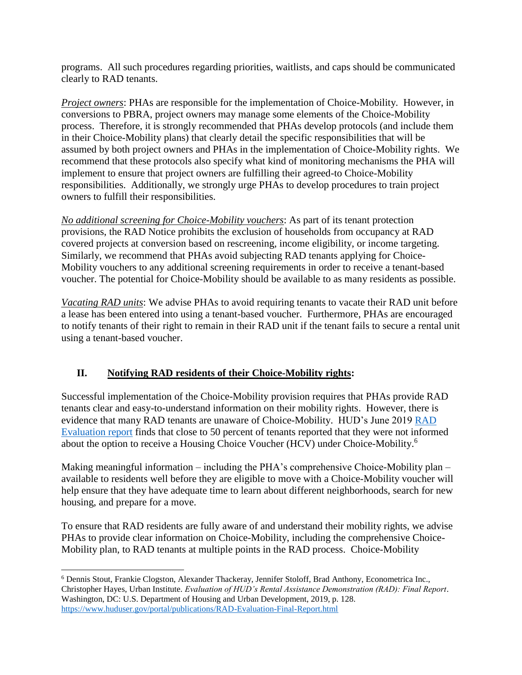programs. All such procedures regarding priorities, waitlists, and caps should be communicated clearly to RAD tenants.

*Project owners*: PHAs are responsible for the implementation of Choice-Mobility. However, in conversions to PBRA, project owners may manage some elements of the Choice-Mobility process. Therefore, it is strongly recommended that PHAs develop protocols (and include them in their Choice-Mobility plans) that clearly detail the specific responsibilities that will be assumed by both project owners and PHAs in the implementation of Choice-Mobility rights. We recommend that these protocols also specify what kind of monitoring mechanisms the PHA will implement to ensure that project owners are fulfilling their agreed-to Choice-Mobility responsibilities. Additionally, we strongly urge PHAs to develop procedures to train project owners to fulfill their responsibilities.

*No additional screening for Choice-Mobility vouchers*: As part of its tenant protection provisions, the RAD Notice prohibits the exclusion of households from occupancy at RAD covered projects at conversion based on rescreening, income eligibility, or income targeting. Similarly, we recommend that PHAs avoid subjecting RAD tenants applying for Choice-Mobility vouchers to any additional screening requirements in order to receive a tenant-based voucher. The potential for Choice-Mobility should be available to as many residents as possible.

*Vacating RAD units*: We advise PHAs to avoid requiring tenants to vacate their RAD unit before a lease has been entered into using a tenant-based voucher. Furthermore, PHAs are encouraged to notify tenants of their right to remain in their RAD unit if the tenant fails to secure a rental unit using a tenant-based voucher.

# **II. Notifying RAD residents of their Choice-Mobility rights:**

Successful implementation of the Choice-Mobility provision requires that PHAs provide RAD tenants clear and easy-to-understand information on their mobility rights. However, there is evidence that many RAD tenants are unaware of Choice-Mobility. HUD's June 2019 [RAD](https://www.huduser.gov/portal/sites/default/files/pdf/RAD-Evaluation-Final-Report.pdf)  [Evaluation report](https://www.huduser.gov/portal/sites/default/files/pdf/RAD-Evaluation-Final-Report.pdf) finds that close to 50 percent of tenants reported that they were not informed about the option to receive a Housing Choice Voucher (HCV) under Choice-Mobility.<sup>6</sup>

Making meaningful information – including the PHA's comprehensive Choice-Mobility plan – available to residents well before they are eligible to move with a Choice-Mobility voucher will help ensure that they have adequate time to learn about different neighborhoods, search for new housing, and prepare for a move.

To ensure that RAD residents are fully aware of and understand their mobility rights, we advise PHAs to provide clear information on Choice-Mobility, including the comprehensive Choice-Mobility plan, to RAD tenants at multiple points in the RAD process. Choice-Mobility

 $\overline{\phantom{a}}$ <sup>6</sup> Dennis Stout, Frankie Clogston, Alexander Thackeray, Jennifer Stoloff, Brad Anthony, Econometrica Inc., Christopher Hayes, Urban Institute. *Evaluation of HUD's Rental Assistance Demonstration (RAD): Final Report*. Washington, DC: U.S. Department of Housing and Urban Development, 2019, p. 128. <https://www.huduser.gov/portal/publications/RAD-Evaluation-Final-Report.html>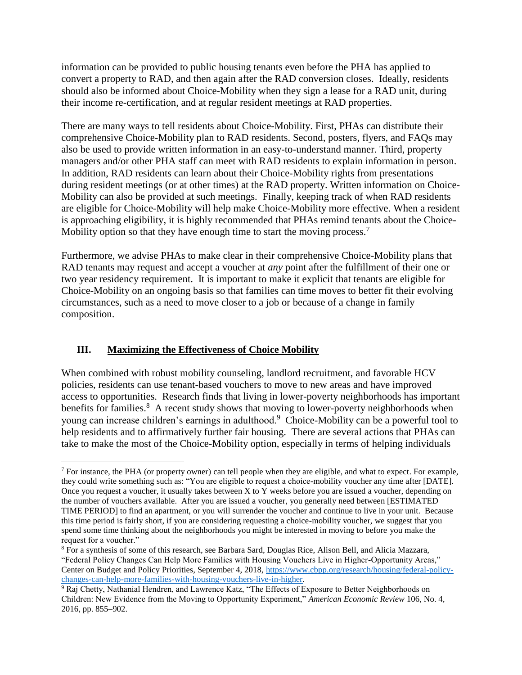information can be provided to public housing tenants even before the PHA has applied to convert a property to RAD, and then again after the RAD conversion closes. Ideally, residents should also be informed about Choice-Mobility when they sign a lease for a RAD unit, during their income re-certification, and at regular resident meetings at RAD properties.

There are many ways to tell residents about Choice-Mobility. First, PHAs can distribute their comprehensive Choice-Mobility plan to RAD residents. Second, posters, flyers, and FAQs may also be used to provide written information in an easy-to-understand manner. Third, property managers and/or other PHA staff can meet with RAD residents to explain information in person. In addition, RAD residents can learn about their Choice-Mobility rights from presentations during resident meetings (or at other times) at the RAD property. Written information on Choice-Mobility can also be provided at such meetings. Finally, keeping track of when RAD residents are eligible for Choice-Mobility will help make Choice-Mobility more effective. When a resident is approaching eligibility, it is highly recommended that PHAs remind tenants about the Choice-Mobility option so that they have enough time to start the moving process.<sup>7</sup>

Furthermore, we advise PHAs to make clear in their comprehensive Choice-Mobility plans that RAD tenants may request and accept a voucher at *any* point after the fulfillment of their one or two year residency requirement. It is important to make it explicit that tenants are eligible for Choice-Mobility on an ongoing basis so that families can time moves to better fit their evolving circumstances, such as a need to move closer to a job or because of a change in family composition.

# **III. Maximizing the Effectiveness of Choice Mobility**

When combined with robust mobility counseling, landlord recruitment, and favorable HCV policies, residents can use tenant-based vouchers to move to new areas and have improved access to opportunities. Research finds that living in lower-poverty neighborhoods has important benefits for families.<sup>8</sup> A recent study shows that moving to lower-poverty neighborhoods when young can increase children's earnings in adulthood.<sup>9</sup> Choice-Mobility can be a powerful tool to help residents and to affirmatively further fair housing. There are several actions that PHAs can take to make the most of the Choice-Mobility option, especially in terms of helping individuals

l  $<sup>7</sup>$  For instance, the PHA (or property owner) can tell people when they are eligible, and what to expect. For example,</sup> they could write something such as: "You are eligible to request a choice-mobility voucher any time after [DATE]. Once you request a voucher, it usually takes between X to Y weeks before you are issued a voucher, depending on the number of vouchers available. After you are issued a voucher, you generally need between [ESTIMATED TIME PERIOD] to find an apartment, or you will surrender the voucher and continue to live in your unit. Because this time period is fairly short, if you are considering requesting a choice-mobility voucher, we suggest that you spend some time thinking about the neighborhoods you might be interested in moving to before you make the request for a voucher."

<sup>8</sup> For a synthesis of some of this research, see Barbara Sard, Douglas Rice, Alison Bell, and Alicia Mazzara, "Federal Policy Changes Can Help More Families with Housing Vouchers Live in Higher-Opportunity Areas," Center on Budget and Policy Priorities, September 4, 2018, [https://www.cbpp.org/research/housing/federal-policy](https://www.cbpp.org/research/housing/federal-policy-changes-can-help-more-families-with-housing-vouchers-live-in-higher)[changes-can-help-more-families-with-housing-vouchers-live-in-higher.](https://www.cbpp.org/research/housing/federal-policy-changes-can-help-more-families-with-housing-vouchers-live-in-higher)

<sup>9</sup> Raj Chetty, Nathanial Hendren, and Lawrence Katz, "The Effects of Exposure to Better Neighborhoods on Children: New Evidence from the Moving to Opportunity Experiment," *American Economic Review* 106, No. 4, 2016, pp. 855–902.